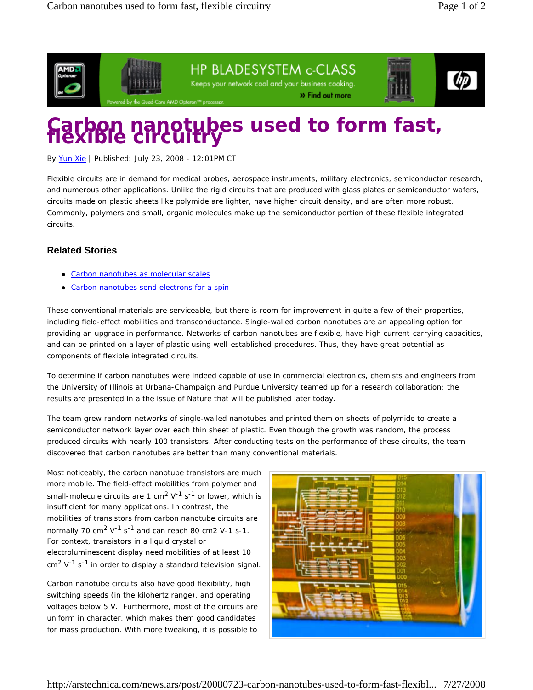

HP BLADESYSTEM c-CLASS Keeps your network cool and your business cooking. » Find out more



## **Carbon nanotubes used to form fast, flexible circuitry**

By Yun Xie | Published: July 23, 2008 - 12:01PM CT

Flexible circuits are in demand for medical probes, aerospace instruments, military electronics, semiconductor research, and numerous other applications. Unlike the rigid circuits that are produced with glass plates or semiconductor wafers, circuits made on plastic sheets like polymide are lighter, have higher circuit density, and are often more robust. Commonly, polymers and small, organic molecules make up the semiconductor portion of these flexible integrated circuits.

## **Related Stories**

- Carbon nanotubes as molecular scales
- Carbon nanotubes send electrons for a spin

These conventional materials are serviceable, but there is room for improvement in quite a few of their properties, including field-effect mobilities and transconductance. Single-walled carbon nanotubes are an appealing option for providing an upgrade in performance. Networks of carbon nanotubes are flexible, have high current-carrying capacities, and can be printed on a layer of plastic using well-established procedures. Thus, they have great potential as components of flexible integrated circuits.

To determine if carbon nanotubes were indeed capable of use in commercial electronics, chemists and engineers from the University of Illinois at Urbana-Champaign and Purdue University teamed up for a research collaboration; the results are presented in a the issue of *Nature* that will be published later today.

The team grew random networks of single-walled nanotubes and printed them on sheets of polymide to create a semiconductor network layer over each thin sheet of plastic. Even though the growth was random, the process produced circuits with nearly 100 transistors. After conducting tests on the performance of these circuits, the team discovered that carbon nanotubes are better than many conventional materials.

Most noticeably, the carbon nanotube transistors are much more mobile. The field-effect mobilities from polymer and small-molecule circuits are 1 cm<sup>2</sup> V<sup>-1</sup> s<sup>-1</sup> or lower, which is insufficient for many applications. In contrast, the mobilities of transistors from carbon nanotube circuits are normally 70  $\text{cm}^2$  V<sup>-1</sup> s<sup>-1</sup> and can reach 80 cm2 V-1 s-1. For context, transistors in a liquid crystal or electroluminescent display need mobilities of at least 10  $\text{cm}^2$  V<sup>-1</sup> s<sup>-1</sup> in order to display a standard television signal.

Carbon nanotube circuits also have good flexibility, high switching speeds (in the kilohertz range), and operating voltages below 5 V. Furthermore, most of the circuits are uniform in character, which makes them good candidates for mass production. With more tweaking, it is possible to